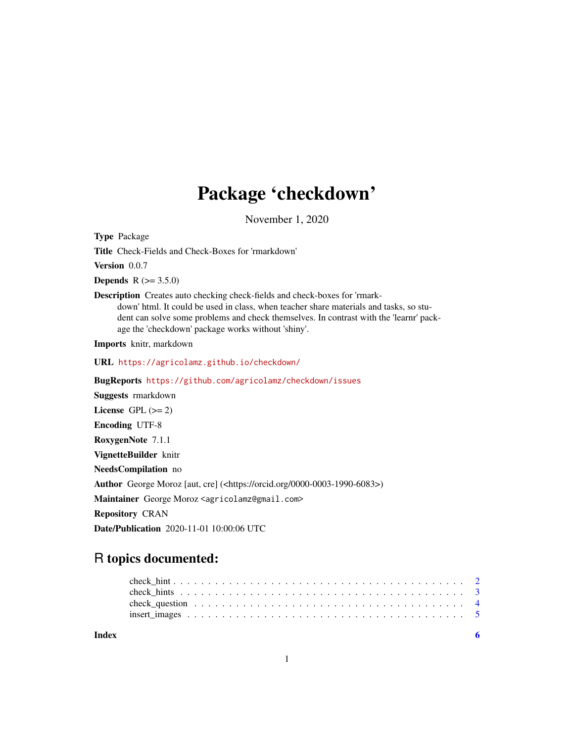## Package 'checkdown'

November 1, 2020

Type Package

Title Check-Fields and Check-Boxes for 'rmarkdown'

Version 0.0.7

**Depends** R  $(>= 3.5.0)$ 

Description Creates auto checking check-fields and check-boxes for 'rmarkdown' html. It could be used in class, when teacher share materials and tasks, so student can solve some problems and check themselves. In contrast with the 'learnr' package the 'checkdown' package works without 'shiny'.

Imports knitr, markdown

URL <https://agricolamz.github.io/checkdown/>

BugReports <https://github.com/agricolamz/checkdown/issues>

Suggests rmarkdown License GPL  $(>= 2)$ Encoding UTF-8

RoxygenNote 7.1.1

VignetteBuilder knitr

NeedsCompilation no

Author George Moroz [aut, cre] (<https://orcid.org/0000-0003-1990-6083>)

Maintainer George Moroz <agricolamz@gmail.com>

Repository CRAN

Date/Publication 2020-11-01 10:00:06 UTC

### R topics documented:

| Index |  | - 6 |
|-------|--|-----|
|       |  |     |
|       |  |     |
|       |  |     |
|       |  |     |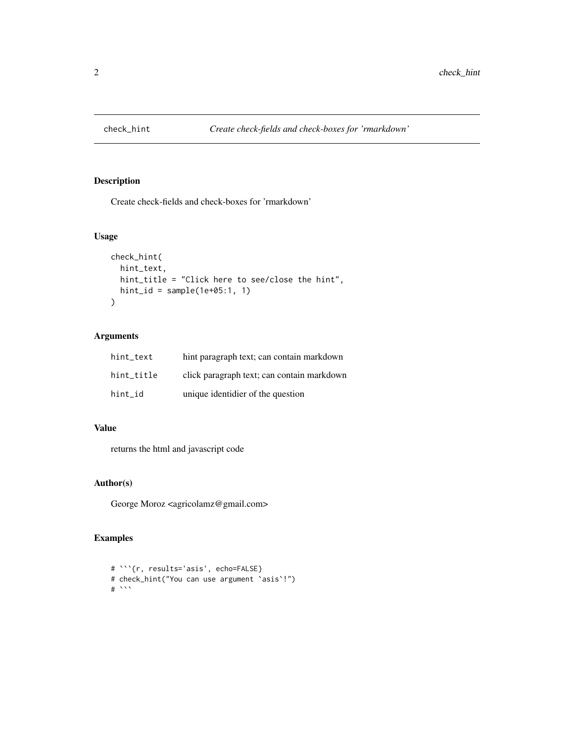<span id="page-1-0"></span>

#### Description

Create check-fields and check-boxes for 'rmarkdown'

#### Usage

```
check_hint(
  hint_text,
  hint_title = "Click here to see/close the hint",
  hint_id = sample(1e+05:1, 1)\mathcal{L}
```
#### Arguments

| hint text  | hint paragraph text; can contain markdown  |
|------------|--------------------------------------------|
| hint title | click paragraph text; can contain markdown |
| hint id    | unique identidier of the question          |

#### Value

returns the html and javascript code

#### Author(s)

George Moroz <agricolamz@gmail.com>

#### Examples

```
# ```{r, results='asis', echo=FALSE}
# check_hint("You can use argument `asis`!")
*<sup>*</sup>
```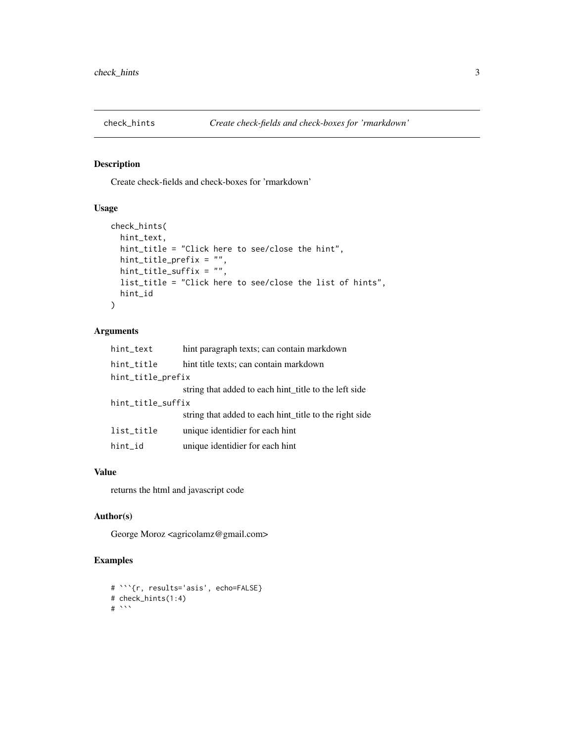<span id="page-2-0"></span>

#### Description

Create check-fields and check-boxes for 'rmarkdown'

#### Usage

```
check_hints(
 hint_text,
 hint_title = "Click here to see/close the hint",
 hint_title_prefix = "",
 hint_title_suffix = "",
 list_title = "Click here to see/close the list of hints",
 hint_id
)
```
#### Arguments

| hint_text         | hint paragraph texts; can contain markdown             |  |
|-------------------|--------------------------------------------------------|--|
| hint_title        | hint title texts; can contain markdown                 |  |
| hint_title_prefix |                                                        |  |
|                   | string that added to each hint_title to the left side  |  |
| hint_title_suffix |                                                        |  |
|                   | string that added to each hint title to the right side |  |
| list_title        | unique identidier for each hint                        |  |
| hint_id           | unique identidier for each hint                        |  |
|                   |                                                        |  |

#### Value

returns the html and javascript code

#### Author(s)

George Moroz <agricolamz@gmail.com>

#### Examples

```
# ```{r, results='asis', echo=FALSE}
# check_hints(1:4)
*
```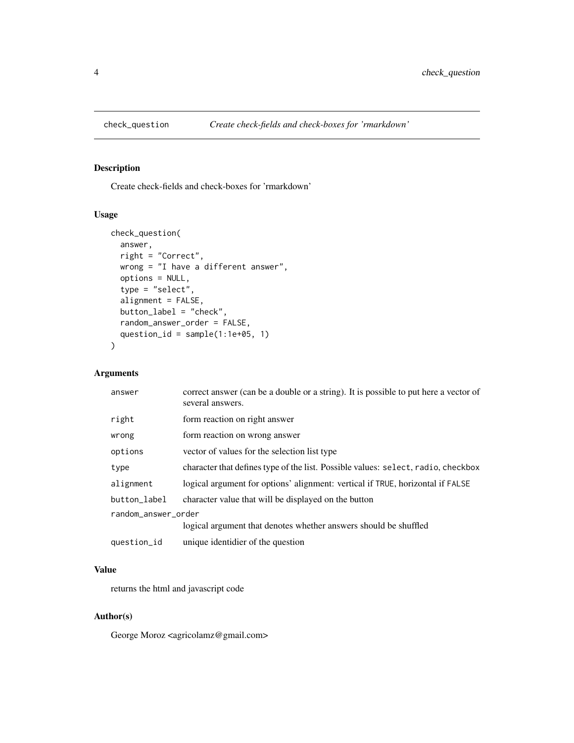<span id="page-3-0"></span>

#### Description

Create check-fields and check-boxes for 'rmarkdown'

#### Usage

```
check_question(
  answer,
  right = "Correct",
 wrong = "I have a different answer",
  options = NULL,
  type = "select",
  alignment = FALSE,
 button_label = "check",
  random_answer_order = FALSE,
  question_id = sample(1:1e+05, 1)
)
```
#### Arguments

| answer              | correct answer (can be a double or a string). It is possible to put here a vector of<br>several answers. |  |  |
|---------------------|----------------------------------------------------------------------------------------------------------|--|--|
| right               | form reaction on right answer                                                                            |  |  |
| wrong               | form reaction on wrong answer                                                                            |  |  |
| options             | vector of values for the selection list type                                                             |  |  |
| type                | character that defines type of the list. Possible values: select, radio, checkbox                        |  |  |
| alignment           | logical argument for options' alignment: vertical if TRUE, horizontal if FALSE                           |  |  |
| button_label        | character value that will be displayed on the button                                                     |  |  |
| random_answer_order |                                                                                                          |  |  |
|                     | logical argument that denotes whether answers should be shuffled                                         |  |  |
| question_id         | unique identidier of the question                                                                        |  |  |

#### Value

returns the html and javascript code

#### Author(s)

George Moroz <agricolamz@gmail.com>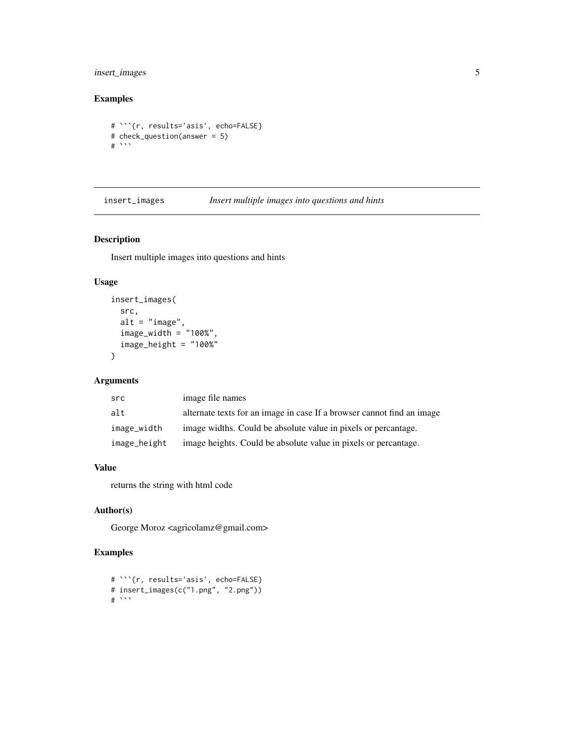#### <span id="page-4-0"></span>insert\_images 5

#### Examples

```
# ```{r, results='asis', echo=FALSE}
# check_question(answer = 5)
#
```
insert\_images *Insert multiple images into questions and hints*

#### Description

Insert multiple images into questions and hints

#### Usage

```
insert_images(
  src,
  alt = "image",
  image_width = "100%",
  image_height = "100%"
)
```
#### Arguments

| src          | image file names                                                       |
|--------------|------------------------------------------------------------------------|
| alt          | alternate texts for an image in case If a browser cannot find an image |
| image_width  | image widths. Could be absolute value in pixels or percantage.         |
| image_height | image heights. Could be absolute value in pixels or percantage.        |

#### Value

returns the string with html code

#### Author(s)

George Moroz <agricolamz@gmail.com>

#### Examples

```
# ```{r, results='asis', echo=FALSE}
# insert_images(c("1.png", "2.png"))
\#
```